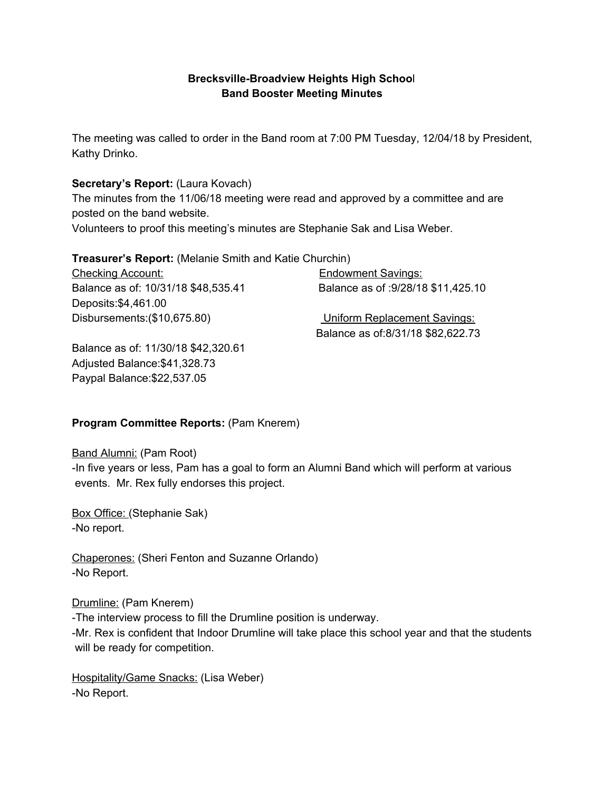### **Brecksville-Broadview Heights High Schoo**l **Band Booster Meeting Minutes**

The meeting was called to order in the Band room at 7:00 PM Tuesday, 12/04/18 by President, Kathy Drinko.

### **Secretary's Report:** (Laura Kovach)

The minutes from the 11/06/18 meeting were read and approved by a committee and are posted on the band website.

Volunteers to proof this meeting's minutes are Stephanie Sak and Lisa Weber.

### **Treasurer's Report:** (Melanie Smith and Katie Churchin)

Checking Account: Endowment Savings: Balance as of: 10/31/18 \$48,535.41 Balance as of :9/28/18 \$11,425.10 Deposits:\$4,461.00 Disbursements:(\$10,675.80) Uniform Replacement Savings:

Balance as of:8/31/18 \$82,622.73

Balance as of: 11/30/18 \$42,320.61 Adjusted Balance:\$41,328.73 Paypal Balance:\$22,537.05

# **Program Committee Reports:** (Pam Knerem)

Band Alumni: (Pam Root)

-In five years or less, Pam has a goal to form an Alumni Band which will perform at various events. Mr. Rex fully endorses this project.

Box Office: (Stephanie Sak) -No report.

Chaperones: (Sheri Fenton and Suzanne Orlando) -No Report.

Drumline: (Pam Knerem)

-The interview process to fill the Drumline position is underway.

-Mr. Rex is confident that Indoor Drumline will take place this school year and that the students will be ready for competition.

Hospitality/Game Snacks: (Lisa Weber) -No Report.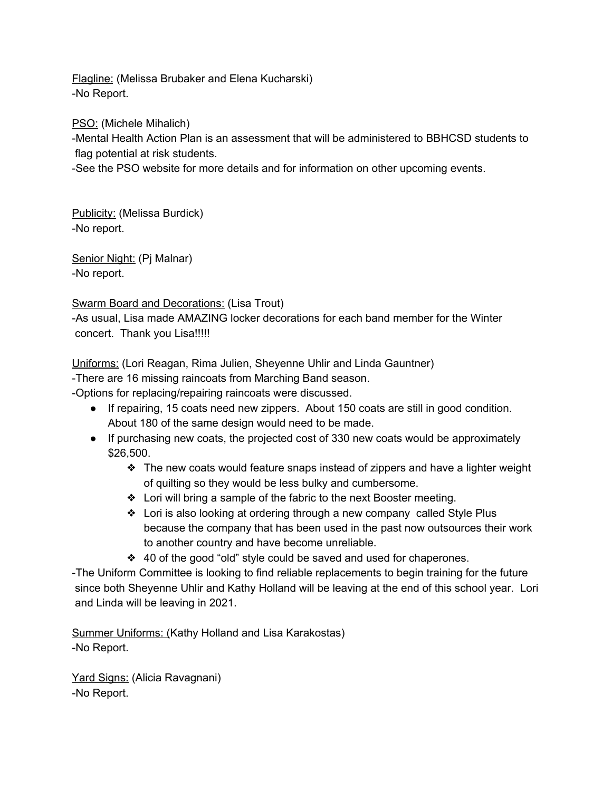Flagline: (Melissa Brubaker and Elena Kucharski) -No Report.

PSO: (Michele Mihalich)

-Mental Health Action Plan is an assessment that will be administered to BBHCSD students to flag potential at risk students.

-See the PSO website for more details and for information on other upcoming events.

Publicity: (Melissa Burdick) -No report.

Senior Night: (Pj Malnar) -No report.

Swarm Board and Decorations: (Lisa Trout)

-As usual, Lisa made AMAZING locker decorations for each band member for the Winter concert. Thank you Lisa!!!!!

Uniforms: (Lori Reagan, Rima Julien, Sheyenne Uhlir and Linda Gauntner)

-There are 16 missing raincoats from Marching Band season.

-Options for replacing/repairing raincoats were discussed.

- If repairing, 15 coats need new zippers. About 150 coats are still in good condition. About 180 of the same design would need to be made.
- If purchasing new coats, the projected cost of 330 new coats would be approximately \$26,500.
	- ❖ The new coats would feature snaps instead of zippers and have a lighter weight of quilting so they would be less bulky and cumbersome.
	- ❖ Lori will bring a sample of the fabric to the next Booster meeting.
	- ❖ Lori is also looking at ordering through a new company called Style Plus because the company that has been used in the past now outsources their work to another country and have become unreliable.
	- ❖ 40 of the good "old" style could be saved and used for chaperones.

-The Uniform Committee is looking to find reliable replacements to begin training for the future since both Sheyenne Uhlir and Kathy Holland will be leaving at the end of this school year. Lori and Linda will be leaving in 2021.

Summer Uniforms: (Kathy Holland and Lisa Karakostas) -No Report.

Yard Signs: (Alicia Ravagnani) -No Report.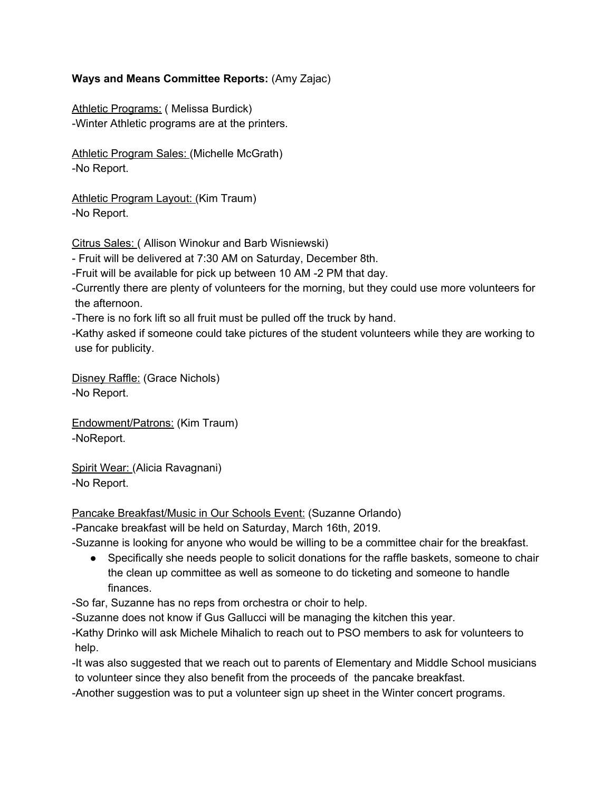### **Ways and Means Committee Reports:** (Amy Zajac)

Athletic Programs: (Melissa Burdick) -Winter Athletic programs are at the printers.

Athletic Program Sales: (Michelle McGrath) -No Report.

Athletic Program Layout: (Kim Traum) -No Report.

Citrus Sales: ( Allison Winokur and Barb Wisniewski)

- Fruit will be delivered at 7:30 AM on Saturday, December 8th.

-Fruit will be available for pick up between 10 AM -2 PM that day.

-Currently there are plenty of volunteers for the morning, but they could use more volunteers for the afternoon.

-There is no fork lift so all fruit must be pulled off the truck by hand.

-Kathy asked if someone could take pictures of the student volunteers while they are working to use for publicity.

Disney Raffle: (Grace Nichols) -No Report.

Endowment/Patrons: (Kim Traum) -NoReport.

Spirit Wear: (Alicia Ravagnani) -No Report.

Pancake Breakfast/Music in Our Schools Event: (Suzanne Orlando)

-Pancake breakfast will be held on Saturday, March 16th, 2019.

-Suzanne is looking for anyone who would be willing to be a committee chair for the breakfast.

● Specifically she needs people to solicit donations for the raffle baskets, someone to chair the clean up committee as well as someone to do ticketing and someone to handle finances.

-So far, Suzanne has no reps from orchestra or choir to help.

-Suzanne does not know if Gus Gallucci will be managing the kitchen this year.

-Kathy Drinko will ask Michele Mihalich to reach out to PSO members to ask for volunteers to help.

-It was also suggested that we reach out to parents of Elementary and Middle School musicians to volunteer since they also benefit from the proceeds of the pancake breakfast.

-Another suggestion was to put a volunteer sign up sheet in the Winter concert programs.